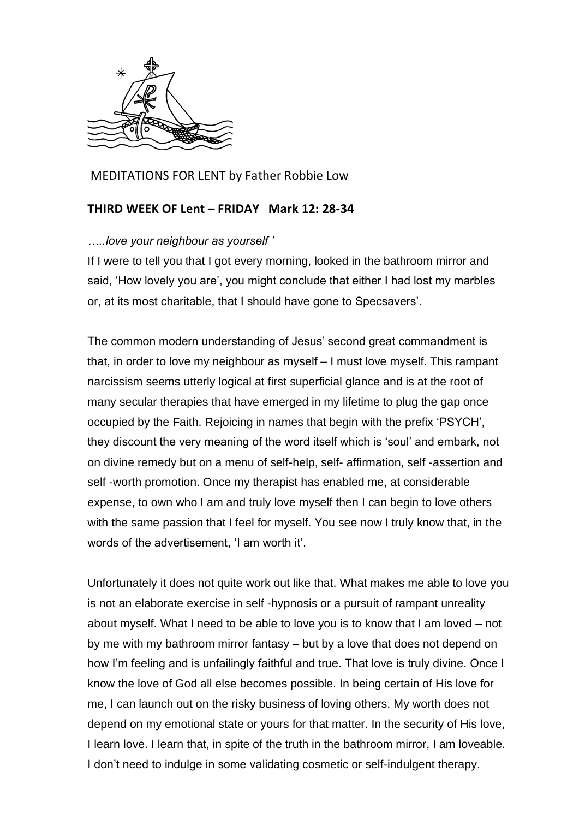

MEDITATIONS FOR LENT by Father Robbie Low

## **THIRD WEEK OF Lent – FRIDAY Mark 12: 28-34**

## *…..love your neighbour as yourself '*

If I were to tell you that I got every morning, looked in the bathroom mirror and said, 'How lovely you are', you might conclude that either I had lost my marbles or, at its most charitable, that I should have gone to Specsavers'.

The common modern understanding of Jesus' second great commandment is that, in order to love my neighbour as myself – I must love myself. This rampant narcissism seems utterly logical at first superficial glance and is at the root of many secular therapies that have emerged in my lifetime to plug the gap once occupied by the Faith. Rejoicing in names that begin with the prefix 'PSYCH', they discount the very meaning of the word itself which is 'soul' and embark, not on divine remedy but on a menu of self-help, self- affirmation, self -assertion and self -worth promotion. Once my therapist has enabled me, at considerable expense, to own who I am and truly love myself then I can begin to love others with the same passion that I feel for myself. You see now I truly know that, in the words of the advertisement, 'I am worth it'.

Unfortunately it does not quite work out like that. What makes me able to love you is not an elaborate exercise in self -hypnosis or a pursuit of rampant unreality about myself. What I need to be able to love you is to know that I am loved – not by me with my bathroom mirror fantasy – but by a love that does not depend on how I'm feeling and is unfailingly faithful and true. That love is truly divine. Once I know the love of God all else becomes possible. In being certain of His love for me, I can launch out on the risky business of loving others. My worth does not depend on my emotional state or yours for that matter. In the security of His love, I learn love. I learn that, in spite of the truth in the bathroom mirror, I am loveable. I don't need to indulge in some validating cosmetic or self-indulgent therapy.